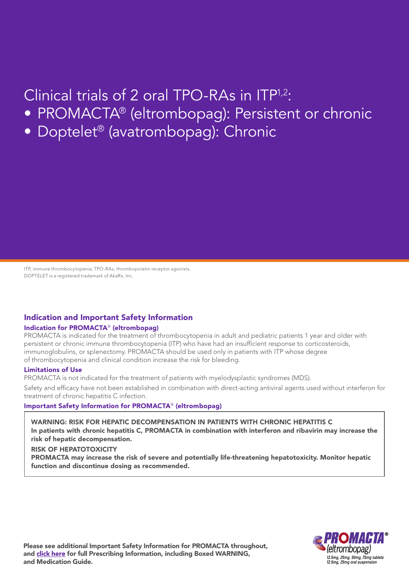## Clinical trials of 2 oral TPO-RAs in ITP1,2:

- PROMACTA® (eltrombopag): Persistent or chronic
- Doptelet® (avatrombopag): Chronic

ITP, immune thrombocytopenia; TPO-RAs, thrombopoietin receptor agonists. DOPTELET is a registered trademark of AkaRx, Inc.

## Indication and Important Safety Information

#### Indication for PROMACTA® (eltrombopag)

PROMACTA is indicated for the treatment of thrombocytopenia in adult and pediatric patients 1 year and older with persistent or chronic immune thrombocytopenia (ITP) who have had an insufficient response to corticosteroids, immunoglobulins, or splenectomy. PROMACTA should be used only in patients with ITP whose degree of thrombocytopenia and clinical condition increase the risk for bleeding.

#### Limitations of Use

PROMACTA is not indicated for the treatment of patients with myelodysplastic syndromes (MDS).

Safety and efficacy have not been established in combination with direct-acting antiviral agents used without interferon for treatment of chronic hepatitis C infection.

### Important Safety Information for PROMACTA® (eltrombopag)

WARNING: RISK FOR HEPATIC DECOMPENSATION IN PATIENTS WITH CHRONIC HEPATITIS C In patients with chronic hepatitis C, PROMACTA in combination with interferon and ribavirin may increase the risk of hepatic decompensation.

#### RISK OF HEPATOTOXICITY

PROMACTA may increase the risk of severe and potentially life-threatening hepatotoxicity. Monitor hepatic function and discontinue dosing as recommended.

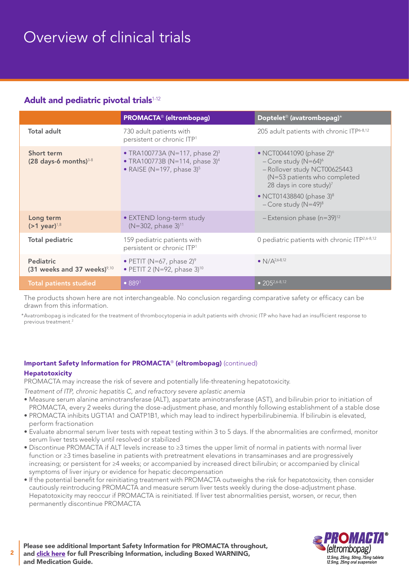## Overview of clinical trials

## Adult and pediatric pivotal trials<sup>1-12</sup>

|                                                    | <b>PROMACTA®</b> (eltrombopag)                                                                                                  | Doptelet <sup>®</sup> (avatrombopag) <sup>*</sup>                                                                                                                                                                                                 |
|----------------------------------------------------|---------------------------------------------------------------------------------------------------------------------------------|---------------------------------------------------------------------------------------------------------------------------------------------------------------------------------------------------------------------------------------------------|
| <b>Total adult</b>                                 | 730 adult patients with<br>persistent or chronic ITP <sup>1</sup>                                                               | 205 adult patients with chronic ITP6-8,12                                                                                                                                                                                                         |
| Short term<br>$(28 \text{ days-6 months})^{3-8}$   | • TRA100773A (N=117, phase $2^3$ )<br>• TRA100773B (N=114, phase $3$ ) <sup>4</sup><br>• RAISE (N=197, phase $3$ ) <sup>5</sup> | • NCT00441090 (phase $2$ ) <sup>6</sup><br>- Core study ( $N=64$ ) <sup>6</sup><br>- Rollover study NCT00625443<br>(N=53 patients who completed<br>28 days in core study) $7$<br>• NCT01438840 (phase $3)^8$<br>$-Core$ study (N=49) <sup>8</sup> |
| Long term<br>$(>1$ year) <sup>1,8</sup>            | • EXTEND long-term study<br>(N=302, phase 3) <sup>11</sup>                                                                      | $-$ Extension phase (n=39) <sup>12</sup>                                                                                                                                                                                                          |
| <b>Total pediatric</b>                             | 159 pediatric patients with<br>persistent or chronic ITP <sup>1</sup>                                                           | 0 pediatric patients with chronic ITP <sup>2,6-8,12</sup>                                                                                                                                                                                         |
| <b>Pediatric</b><br>(31 weeks and 37 weeks) $9,10$ | • PETIT (N=67, phase $2$ ) <sup>9</sup><br>• PETIT 2 (N=92, phase $3^{10}$                                                      | • $N/A^{2,6-8,12}$                                                                                                                                                                                                                                |
| <b>Total patients studied</b>                      | • 889 <sup>1</sup>                                                                                                              | • $205^{2,6-8,12}$                                                                                                                                                                                                                                |

 The products shown here are not interchangeable. No conclusion regarding comparative safety or efficacy can be drawn from this information.

\* Avatrombopag is indicated for the treatment of thrombocytopenia in adult patients with chronic ITP who have had an insufficient response to previous treatment.2

## Important Safety Information for PROMACTA® (eltrombopag) (continued)

## Hepatotoxicity

2

PROMACTA may increase the risk of severe and potentially life-threatening hepatotoxicity.

*Treatment of ITP, chronic hepatitis C, and refractory severe aplastic anemia*

- Measure serum alanine aminotransferase (ALT), aspartate aminotransferase (AST), and bilirubin prior to initiation of PROMACTA, every 2 weeks during the dose-adjustment phase, and monthly following establishment of a stable dose
- PROMACTA inhibits UGT1A1 and OATP1B1, which may lead to indirect hyperbilirubinemia. If bilirubin is elevated, perform fractionation
- Evaluate abnormal serum liver tests with repeat testing within 3 to 5 days. If the abnormalities are confirmed, monitor serum liver tests weekly until resolved or stabilized
- Discontinue PROMACTA if ALT levels increase to ≥3 times the upper limit of normal in patients with normal liver function or ≥3 times baseline in patients with pretreatment elevations in transaminases and are progressively increasing; or persistent for ≥4 weeks; or accompanied by increased direct bilirubin; or accompanied by clinical symptoms of liver injury or evidence for hepatic decompensation
- If the potential benefit for reinitiating treatment with PROMACTA outweighs the risk for hepatotoxicity, then consider cautiously reintroducing PROMACTA and measure serum liver tests weekly during the dose-adjustment phase. Hepatotoxicity may reoccur if PROMACTA is reinitiated. If liver test abnormalities persist, worsen, or recur, then permanently discontinue PROMACTA

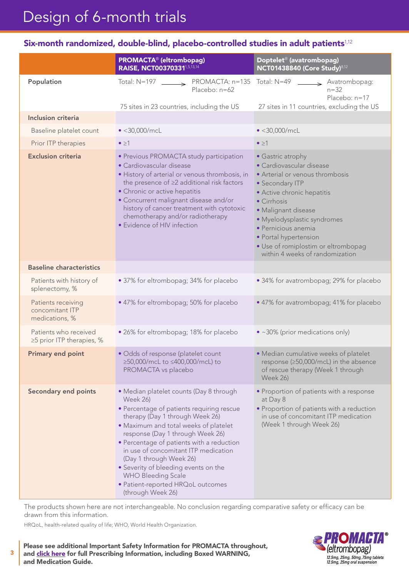# Design of 6-month trials

## Six-month randomized, double-blind, placebo-controlled studies in adult patients $1,12$

|                                                         | <b>PROMACTA®</b> (eltrombopag)<br>RAISE, NCT003703311,5,13,14                                                                                                                                                                                                                                                                                                                                                                                                          | Doptelet <sup>®</sup> (avatrombopag)<br><b>NCT01438840 (Core Study)</b> 8,12                                                                                                                                                                                                                                                     |
|---------------------------------------------------------|------------------------------------------------------------------------------------------------------------------------------------------------------------------------------------------------------------------------------------------------------------------------------------------------------------------------------------------------------------------------------------------------------------------------------------------------------------------------|----------------------------------------------------------------------------------------------------------------------------------------------------------------------------------------------------------------------------------------------------------------------------------------------------------------------------------|
| Population                                              | PROMACTA: n=135 Total: N=49<br>Total: $N=197$<br>$\rightarrow$<br>Placebo: n=62                                                                                                                                                                                                                                                                                                                                                                                        | $\rightarrow$ Avatrombopag:<br>$n = 32$<br>Placebo: n=17                                                                                                                                                                                                                                                                         |
| <b>Inclusion criteria</b>                               | 75 sites in 23 countries, including the US                                                                                                                                                                                                                                                                                                                                                                                                                             | 27 sites in 11 countries, excluding the US                                                                                                                                                                                                                                                                                       |
|                                                         |                                                                                                                                                                                                                                                                                                                                                                                                                                                                        |                                                                                                                                                                                                                                                                                                                                  |
| Baseline platelet count                                 | $\bullet$ <30,000/mcL                                                                                                                                                                                                                                                                                                                                                                                                                                                  | $\bullet$ <30,000/mcL                                                                                                                                                                                                                                                                                                            |
| Prior ITP therapies                                     | $\bullet \geq 1$                                                                                                                                                                                                                                                                                                                                                                                                                                                       | $\bullet \geq 1$                                                                                                                                                                                                                                                                                                                 |
| <b>Exclusion criteria</b>                               | • Previous PROMACTA study participation<br>• Cardiovascular disease<br>· History of arterial or venous thrombosis, in<br>the presence of ≥2 additional risk factors<br>· Chronic or active hepatitis<br>• Concurrent malignant disease and/or<br>history of cancer treatment with cytotoxic<br>chemotherapy and/or radiotherapy<br>• Evidence of HIV infection                                                                                                         | • Gastric atrophy<br>• Cardiovascular disease<br>• Arterial or venous thrombosis<br>• Secondary ITP<br>· Active chronic hepatitis<br>• Cirrhosis<br>· Malignant disease<br>· Myelodysplastic syndromes<br>· Pernicious anemia<br>· Portal hypertension<br>· Use of romiplostim or eltrombopag<br>within 4 weeks of randomization |
| <b>Baseline characteristics</b>                         |                                                                                                                                                                                                                                                                                                                                                                                                                                                                        |                                                                                                                                                                                                                                                                                                                                  |
| Patients with history of<br>splenectomy, %              | • 37% for eltrombopag; 34% for placebo                                                                                                                                                                                                                                                                                                                                                                                                                                 | • 34% for avatrombopag; 29% for placebo                                                                                                                                                                                                                                                                                          |
| Patients receiving<br>concomitant ITP<br>medications, % | • 47% for eltrombopag; 50% for placebo                                                                                                                                                                                                                                                                                                                                                                                                                                 | • 47% for avatrombopag; 41% for placebo                                                                                                                                                                                                                                                                                          |
| Patients who received<br>≥5 prior ITP therapies, %      | • 26% for eltrombopag; 18% for placebo                                                                                                                                                                                                                                                                                                                                                                                                                                 | • ~30% (prior medications only)                                                                                                                                                                                                                                                                                                  |
| <b>Primary end point</b>                                | · Odds of response (platelet count<br>≥50,000/mcL to ≤400,000/mcL) to<br>PROMACTA vs placebo                                                                                                                                                                                                                                                                                                                                                                           | · Median cumulative weeks of platelet<br>response (≥50,000/mcL) in the absence<br>of rescue therapy (Week 1 through<br><b>Week 26)</b>                                                                                                                                                                                           |
| <b>Secondary end points</b>                             | • Median platelet counts (Day 8 through<br><b>Week 26)</b><br>• Percentage of patients requiring rescue<br>therapy (Day 1 through Week 26)<br>• Maximum and total weeks of platelet<br>response (Day 1 through Week 26)<br>• Percentage of patients with a reduction<br>in use of concomitant ITP medication<br>(Day 1 through Week 26)<br>• Severity of bleeding events on the<br><b>WHO Bleeding Scale</b><br>· Patient-reported HRQoL outcomes<br>(through Week 26) | • Proportion of patients with a response<br>at Day 8<br>· Proportion of patients with a reduction<br>in use of concomitant ITP medication<br>(Week 1 through Week 26)                                                                                                                                                            |

The products shown here are not interchangeable. No conclusion regarding comparative safety or efficacy can be drawn from this information.

HRQoL, health-related quality of life; WHO, World Health Organization.

3

Please see additional Important Safety Information for PROMACTA throughout, and [click here](https://www.novartis.us/sites/www.novartis.us/files/promacta.pdf) for full Prescribing Information, including Boxed WARNING, and Medication Guide.

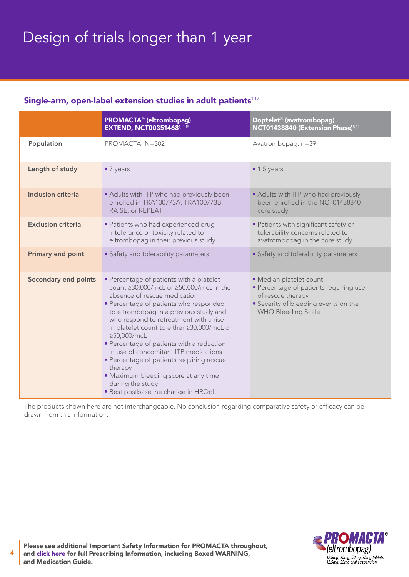# Design of trials longer than 1 year

## Single-arm, open-label extension studies in adult patients<sup>1,12</sup>

|                             | <b>PROMACTA<sup>®</sup></b> (eltrombopag)<br><b>EXTEND, NCT003514681,11,15</b>                                                                                                                                                                                                                                                                                                                                                                                                                                                                                  | Doptelet <sup>®</sup> (avatrombopag)<br>NCT01438840 (Extension Phase) <sup>8,12</sup>                                                                       |
|-----------------------------|-----------------------------------------------------------------------------------------------------------------------------------------------------------------------------------------------------------------------------------------------------------------------------------------------------------------------------------------------------------------------------------------------------------------------------------------------------------------------------------------------------------------------------------------------------------------|-------------------------------------------------------------------------------------------------------------------------------------------------------------|
| Population                  | PROMACTA: N=302                                                                                                                                                                                                                                                                                                                                                                                                                                                                                                                                                 | Avatrombopag: n=39                                                                                                                                          |
| Length of study             | $\bullet$ 7 years                                                                                                                                                                                                                                                                                                                                                                                                                                                                                                                                               | $\bullet$ 1.5 years                                                                                                                                         |
| <b>Inclusion criteria</b>   | • Adults with ITP who had previously been<br>enrolled in TRA100773A, TRA100773B,<br>RAISE, or REPEAT                                                                                                                                                                                                                                                                                                                                                                                                                                                            | • Adults with ITP who had previously<br>been enrolled in the NCT01438840<br>core study                                                                      |
| <b>Exclusion criteria</b>   | · Patients who had experienced drug<br>intolerance or toxicity related to<br>eltrombopag in their previous study                                                                                                                                                                                                                                                                                                                                                                                                                                                | • Patients with significant safety or<br>tolerability concerns related to<br>avatrombopag in the core study                                                 |
| <b>Primary end point</b>    | • Safety and tolerability parameters                                                                                                                                                                                                                                                                                                                                                                                                                                                                                                                            | • Safety and tolerability parameters                                                                                                                        |
| <b>Secondary end points</b> | • Percentage of patients with a platelet<br>count ≥30,000/mcL or ≥50,000/mcL in the<br>absence of rescue medication<br>• Percentage of patients who responded<br>to eltrombopag in a previous study and<br>who respond to retreatment with a rise<br>in platelet count to either ≥30,000/mcL or<br>≥50,000/mcL<br>• Percentage of patients with a reduction<br>in use of concomitant ITP medications<br>• Percentage of patients requiring rescue<br>therapy<br>• Maximum bleeding score at any time<br>during the study<br>· Best postbaseline change in HRQoL | · Median platelet count<br>• Percentage of patients requiring use<br>of rescue therapy<br>• Severity of bleeding events on the<br><b>WHO Bleeding Scale</b> |

The products shown here are not interchangeable. No conclusion regarding comparative safety or efficacy can be drawn from this information.



Please see additional Important Safety Information for PROMACTA throughout, and [click here](https://www.novartis.us/sites/www.novartis.us/files/promacta.pdf) for full Prescribing Information, including Boxed WARNING, and Medication Guide.

4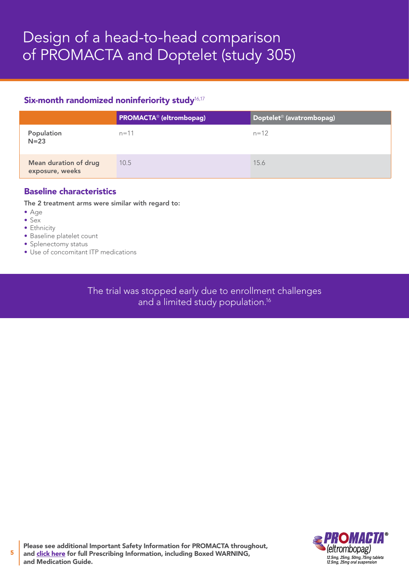## Six-month randomized noninferiority study<sup>16,17</sup>

|                                          | <b>PROMACTA<sup>®</sup></b> (eltrombopag) | Doptelet <sup>®</sup> (avatrombopag) |
|------------------------------------------|-------------------------------------------|--------------------------------------|
| Population<br>$N=23$                     | $n = 11$                                  | $n = 12$                             |
| Mean duration of drug<br>exposure, weeks | 10.5                                      | 15.6                                 |

## Baseline characteristics

The 2 treatment arms were similar with regard to:

- Age
- Sex

5

- Ethnicity
- Baseline platelet count
- Splenectomy status • Use of concomitant ITP medications
- 

The trial was stopped early due to enrollment challenges and a limited study population.<sup>16</sup>



Please see additional Important Safety Information for PROMACTA throughout, and [click here](https://www.novartis.us/sites/www.novartis.us/files/promacta.pdf) for full Prescribing Information, including Boxed WARNING, and Medication Guide.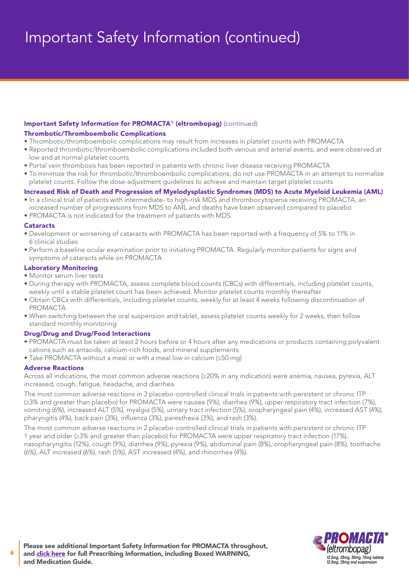## Important Safety Information (continued)

## Important Safety Information for PROMACTA® (eltrombopag) (continued)

### Thrombotic/Thromboembolic Complications

- Thrombotic/thromboembolic complications may result from increases in platelet counts with PROMACTA
- Reported thrombotic/thromboembolic complications included both venous and arterial events, and were observed at low and at normal platelet counts
- Portal vein thrombosis has been reported in patients with chronic liver disease receiving PROMACTA
- To minimize the risk for thrombotic/thromboembolic complications, do not use PROMACTA in an attempt to normalize platelet counts. Follow the dose-adjustment guidelines to achieve and maintain target platelet counts

## Increased Risk of Death and Progression of Myelodysplastic Syndromes (MDS) to Acute Myeloid Leukemia (AML)

- In a clinical trial of patients with intermediate- to high-risk MDS and thrombocytopenia receiving PROMACTA, an increased number of progressions from MDS to AML and deaths have been observed compared to placebo
- PROMACTA is not indicated for the treatment of patients with MDS

#### **Cataracts**

- Development or worsening of cataracts with PROMACTA has been reported with a frequency of 5% to 11% in 6 clinical studies
- Perform a baseline ocular examination prior to initiating PROMACTA. Regularly monitor patients for signs and symptoms of cataracts while on PROMACTA

## Laboratory Monitoring

- Monitor serum liver tests
- During therapy with PROMACTA, assess complete blood counts (CBCs) with differentials, including platelet counts, weekly until a stable platelet count has been achieved. Monitor platelet counts monthly thereafter
- Obtain CBCs with differentials, including platelet counts, weekly for at least 4 weeks following discontinuation of **PROMACTA**
- When switching between the oral suspension and tablet, assess platelet counts weekly for 2 weeks, then follow standard monthly monitoring

## Drug/Drug and Drug/Food Interactions

- PROMACTA must be taken at least 2 hours before or 4 hours after any medications or products containing polyvalent cations such as antacids, calcium-rich foods, and mineral supplements
- Take PROMACTA without a meal or with a meal low in calcium (≤50 mg)

## Adverse Reactions

Across all indications, the most common adverse reactions (≥20% in any indication) were anemia, nausea, pyrexia, ALT increased, cough, fatigue, headache, and diarrhea.

The most common adverse reactions in 3 placebo-controlled clinical trials in patients with persistent or chronic ITP (≥3% and greater than placebo) for PROMACTA were nausea (9%), diarrhea (9%), upper respiratory tract infection (7%), vomiting (6%), increased ALT (5%), myalgia (5%), urinary tract infection (5%), oropharyngeal pain (4%), increased AST (4%), pharyngitis (4%), back pain (3%), influenza (3%), paresthesia (3%), and rash (3%).

The most common adverse reactions in 2 placebo-controlled clinical trials in patients with persistent or chronic ITP 1 year and older (≥3% and greater than placebo) for PROMACTA were upper respiratory tract infection (17%), nasopharyngitis (12%), cough (9%), diarrhea (9%), pyrexia (9%), abdominal pain (8%), oropharyngeal pain (8%), toothache (6%), ALT increased (6%), rash (5%), AST increased (4%), and rhinorrhea (4%).



6